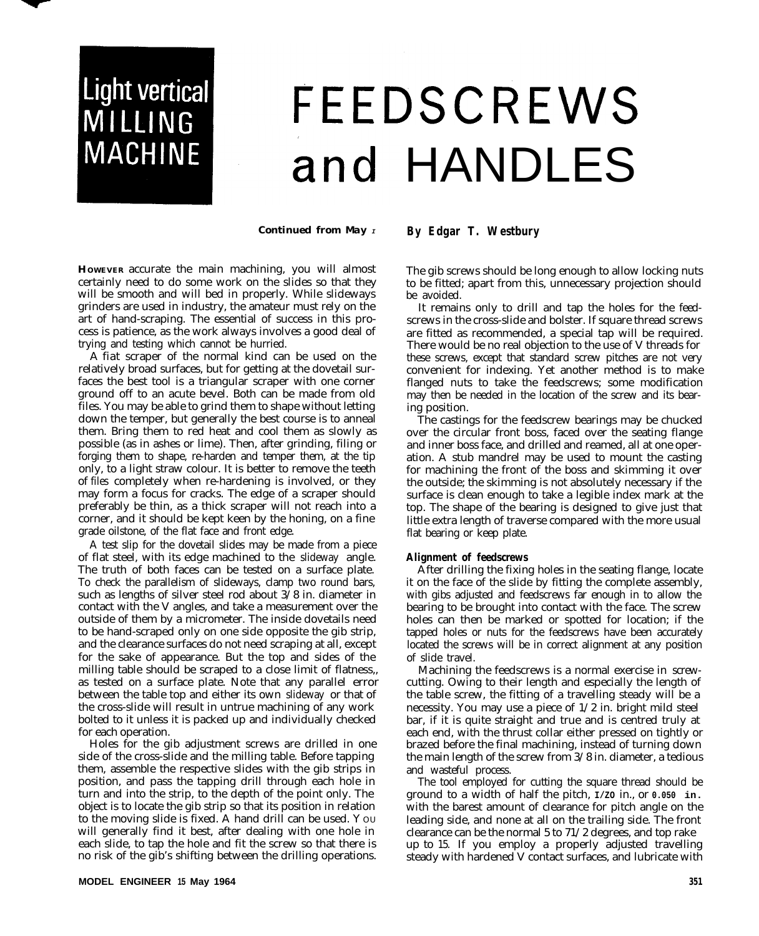## Light vertical MILLING **MACHINE**

## FEEDSCREWS and HANDLES

*Continued from May <sup>I</sup>*

**HOWEVER** accurate the main machining, you will almost certainly need to do some work on the slides so that they will be smooth and will bed in properly. While slideways grinders are used in industry, the amateur must rely on the art of hand-scraping. The essential of success in this process is patience, as the work always involves a good deal of trying and testing which cannot be hurried.

A fiat scraper of the normal kind can be used on the relatively broad surfaces, but for getting at the dovetail surfaces the best tool is a triangular scraper with one corner ground off to an acute bevel. Both can be made from old files. You may be able to grind them to shape without letting down the temper, but generally the best course is to anneal them. Bring them to red heat and cool them as slowly as possible (as in ashes or lime). Then, after grinding, filing or forging them to shape, re-harden and temper them, at the tip only, to a light straw colour. It is better to remove the teeth of files completely when re-hardening is involved, or they may form a focus for cracks. The edge of a scraper should preferably be thin, as a thick scraper will not reach into a corner, and it should be kept keen by the honing, on a fine grade oilstone, of the flat face and front edge.

A test slip for the dovetail slides may be made from a piece of flat steel, with its edge machined to the slideway angle. The truth of both faces can be tested on a surface plate. To check the parallelism of slideways, clamp two round bars, such as lengths of silver steel rod about 3/8 in. diameter in contact with the V angles, and take a measurement over the outside of them by a micrometer. The inside dovetails need to be hand-scraped only on one side opposite the gib strip, and the clearance surfaces do not need scraping at all, except for the sake of appearance. But the top and sides of the milling table should be scraped to a close limit of flatness,, as tested on a surface plate. Note that any parallel error between the table top and either its own slideway or that of the cross-slide will result in untrue machining of any work bolted to it unless it is packed up and individually checked for each operation.

Holes for the gib adjustment screws are drilled in one side of the cross-slide and the milling table. Before tapping them, assemble the respective slides with the gib strips in position, and pass the tapping drill through each hole in turn and into the strip, to the depth of the point only. The object is to locate the gib strip so that its position in relation to the moving slide is fixed. A hand drill can be used. Y OU will generally find it best, after dealing with one hole in each slide, to tap the hole and fit the screw so that there is no risk of the gib's shifting between the drilling operations. **By Edgar T. Westbury**

The gib screws should be long enough to allow locking nuts to be fitted; apart from this, unnecessary projection should be avoided.

It remains only to drill and tap the holes for the feedscrews in the cross-slide and bolster. If square thread screws are fitted as recommended, a special tap will be required. There would be no real objection to the use of V threads for these screws, except that standard screw pitches are not very convenient for indexing. Yet another method is to make flanged nuts to take the feedscrews; some modification may then be needed in the location of the screw and its bearing position.

The castings for the feedscrew bearings may be chucked over the circular front boss, faced over the seating flange and inner boss face, and drilled and reamed, all at one operation. A stub mandrel may be used to mount the casting for machining the front of the boss and skimming it over the outside; the skimming is not absolutely necessary if the surface is clean enough to take a legible index mark at the top. The shape of the bearing is designed to give just that little extra length of traverse compared with the more usual flat bearing or keep plate.

## **Alignment of feedscrews**

After drilling the fixing holes in the seating flange, locate it on the face of the slide by fitting the complete assembly, with gibs adjusted and feedscrews far enough in to allow the bearing to be brought into contact with the face. The screw holes can then be marked or spotted for location; if the tapped holes or nuts for the feedscrews have been accurately located the screws will be in correct alignment at any position of slide travel.

Machining the feedscrews is a normal exercise in screwcutting. Owing to their length and especially the length of the table screw, the fitting of a travelling steady will be a necessity. You may use a piece of 1/2 in. bright mild steel bar, if it is quite straight and true and is centred truly at each end, with the thrust collar either pressed on tightly or brazed before the final machining, instead of turning down the main length of the screw from 3/8 in. diameter, a tedious and wasteful process.

The tool employed for cutting the square thread should be ground to a width of half the pitch, **I/ZO** in., or **0.050 in.** with the barest amount of clearance for pitch angle on the leading side, and none at all on the trailing side. The front clearance can be the normal 5 to 71/2 degrees, and top rake up to 15. If you employ a properly adjusted travelling steady with hardened V contact surfaces, and lubricate with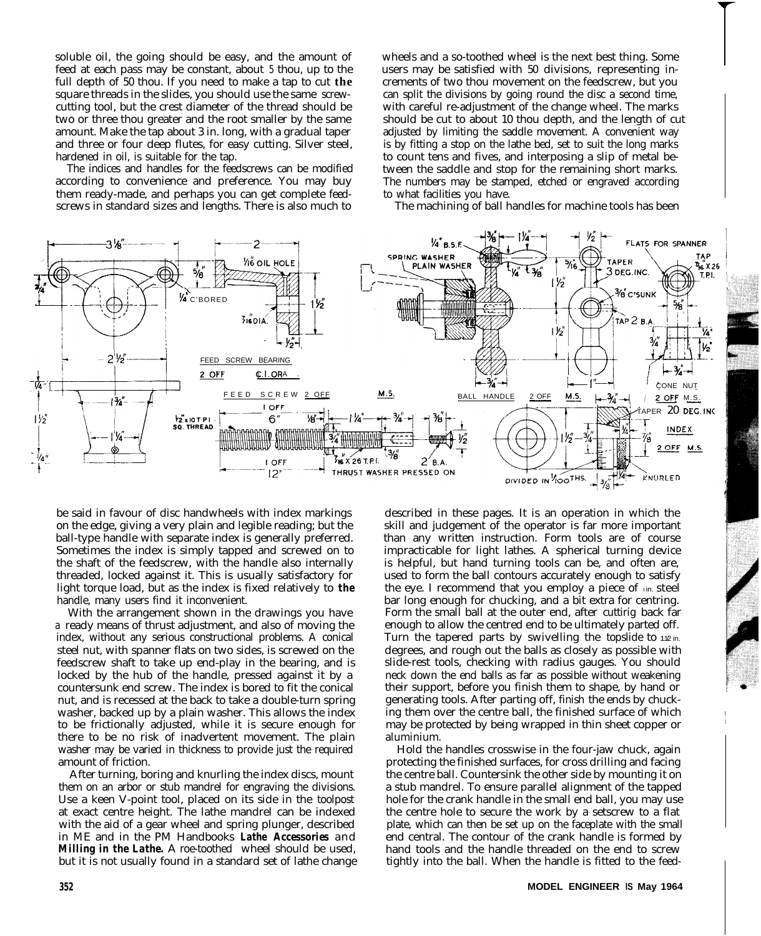soluble oil, the going should be easy, and the amount of feed at each pass may be constant, about 5 thou, up to the full depth of 50 thou. If you need to make a tap to cut **the** square threads in the slides, you should use the same screwcutting tool, but the crest diameter of the thread should be two or three thou greater and the root smaller by the same amount. Make the tap about 3 in. long, with a gradual taper and three or four deep flutes, for easy cutting. Silver steel, hardened in oil, is suitable for the tap.

The indices and handles for the feedscrews can be modified according to convenience and preference. You may buy them ready-made, and perhaps you can get complete feedscrews in standard sizes and lengths. There is also much to

wheels and a so-toothed wheel is the next best thing. Some users may be satisfied with 50 divisions, representing increments of two thou movement on the feedscrew, but you can split the divisions by going round the disc a second time, with careful re-adjustment of the change wheel. The marks should be cut to about 10 thou depth, and the length of cut adjusted by limiting the saddle movement. A convenient way is by fitting a stop on the lathe bed, set to suit the long marks to count tens and fives, and interposing a slip of metal between the saddle and stop for the remaining short marks. The numbers may be stamped, etched or engraved according to what facilities you have.

The machining of ball handles for machine tools has been



be said in favour of disc handwheels with index markings on the edge, giving a very plain and legible reading; but the ball-type handle with separate index is generally preferred. Sometimes the index is simply tapped and screwed on to the shaft of the feedscrew, with the handle also internally threaded, locked against it. This is usually satisfactory for light torque load, but as the index is fixed relatively to *the* handle, many users find it inconvenient.

With the arrangement shown in the drawings you have a ready means of thrust adjustment, and also of moving the index, without any serious constructional problems. A conical steel nut, with spanner flats on two sides, is screwed on the feedscrew shaft to take up end-play in the bearing, and is locked by the hub of the handle, pressed against it by a countersunk end screw. The index is bored to fit the conical nut, and is recessed at the back to take a double-turn spring washer, backed up by a plain washer. This allows the index to be frictionally adjusted, while it is secure enough for there to be no risk of inadvertent movement. The plain washer may be varied in thickness to provide just the required amount of friction.

After turning, boring and knurling the index discs, mount them on an arbor or stub mandrel for engraving the divisions. Use a keen V-point tool, placed on its side in the toolpost at exact centre height. The lathe mandrel can be indexed with the aid of a gear wheel and spring plunger, described in ME and in the PM Handbooks *Lathe Accessories* and *Milling in the Lathe.* A roe-toothed wheel should be used, but it is not usually found in a standard set of lathe change

described in these pages. It is an operation in which the skill and judgement of the operator is far more important than any written instruction. Form tools are of course impracticable for light lathes. A spherical turning device is helpful, but hand turning tools can be, and often are, used to form the ball contours accurately enough to satisfy the eye. I recommend that you employ a piece of  $\overline{I}$  in. steel bar long enough for chucking, and a bit extra for centring. Form the small ball at the outer end, after cuttirig back far enough to allow the centred end to be ultimately parted off. Turn the tapered parts by swivelling the topslide to  $1/2$  in. degrees, and rough out the balls as closely as possible with slide-rest tools, checking with radius gauges. You should neck down the end balls as far as possible without weakening their support, before you finish them to shape, by hand or generating tools. After parting off, finish the ends by chucking them over the centre ball, the finished surface of which may be protected by being wrapped in thin sheet copper or aluminium.

Hold the handles crosswise in the four-jaw chuck, again protecting the finished surfaces, for cross drilling and facing the centre ball. Countersink the other side by mounting it on a stub mandrel. To ensure parallel alignment of the tapped hole for the crank handle in the small end ball, you may use the centre hole to secure the work by a setscrew to a flat plate, which can then be set up on the faceplate with the small end central. The contour of the crank handle is formed by hand tools and the handle threaded on the end to screw tightly into the ball. When the handle is fitted to the feed